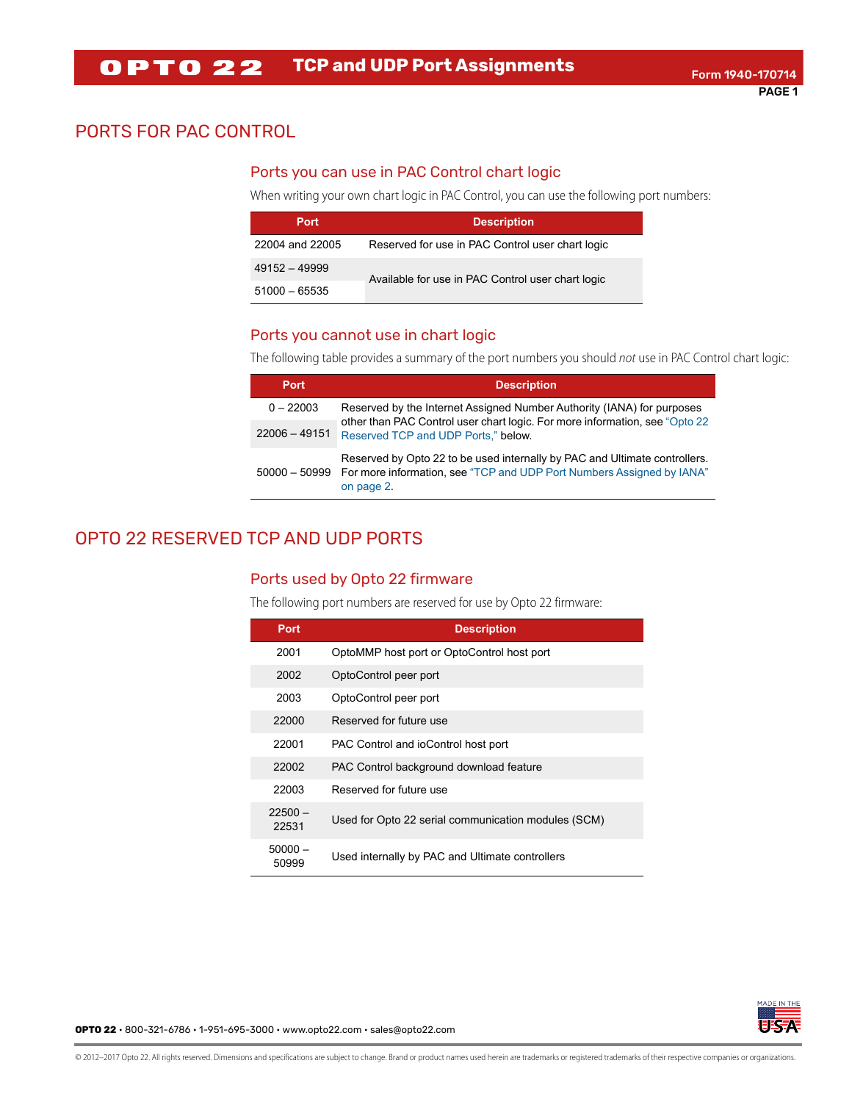## PORTS FOR PAC CONTROL

#### Ports you can use in PAC Control chart logic

When writing your own chart logic in PAC Control, you can use the following port numbers:

| Port            | <b>Description</b>                                |  |
|-----------------|---------------------------------------------------|--|
| 22004 and 22005 | Reserved for use in PAC Control user chart logic  |  |
| $49152 - 49999$ | Available for use in PAC Control user chart logic |  |
| $51000 - 65535$ |                                                   |  |

#### Ports you cannot use in chart logic

The following table provides a summary of the port numbers you should not use in PAC Control chart logic:

| <b>Port</b>     | <b>Description</b>                                                                                                                                                              |
|-----------------|---------------------------------------------------------------------------------------------------------------------------------------------------------------------------------|
| $0 - 22003$     | Reserved by the Internet Assigned Number Authority (IANA) for purposes                                                                                                          |
| $22006 - 49151$ | other than PAC Control user chart logic. For more information, see "Opto 22<br>Reserved TCP and UDP Ports," below.                                                              |
|                 | Reserved by Opto 22 to be used internally by PAC and Ultimate controllers.<br>50000 - 50999 For more information, see "TCP and UDP Port Numbers Assigned by IANA"<br>on page 2. |

# <span id="page-0-0"></span>OPTO 22 RESERVED TCP AND UDP PORTS

#### Ports used by Opto 22 firmware

The following port numbers are reserved for use by Opto 22 firmware:

| <b>Port</b>        | <b>Description</b>                                  |
|--------------------|-----------------------------------------------------|
| 2001               | OptoMMP host port or OptoControl host port          |
| 2002               | OptoControl peer port                               |
| 2003               | OptoControl peer port                               |
| 22000              | Reserved for future use                             |
| 22001              | PAC Control and ioControl host port                 |
| 22002              | PAC Control background download feature             |
| 22003              | Reserved for future use                             |
| $22500 -$<br>22531 | Used for Opto 22 serial communication modules (SCM) |
| $50000 -$<br>50999 | Used internally by PAC and Ultimate controllers     |



**OPTO 22** • 800-321-6786 • 1-951-695-3000 • www.opto22.com • sales@opto22.com

© 2012–2017 Opto 22. All rights reserved. Dimensions and specifications are subject to change. Brand or product names used herein are trademarks or registered trademarks of their respective companies or organizations.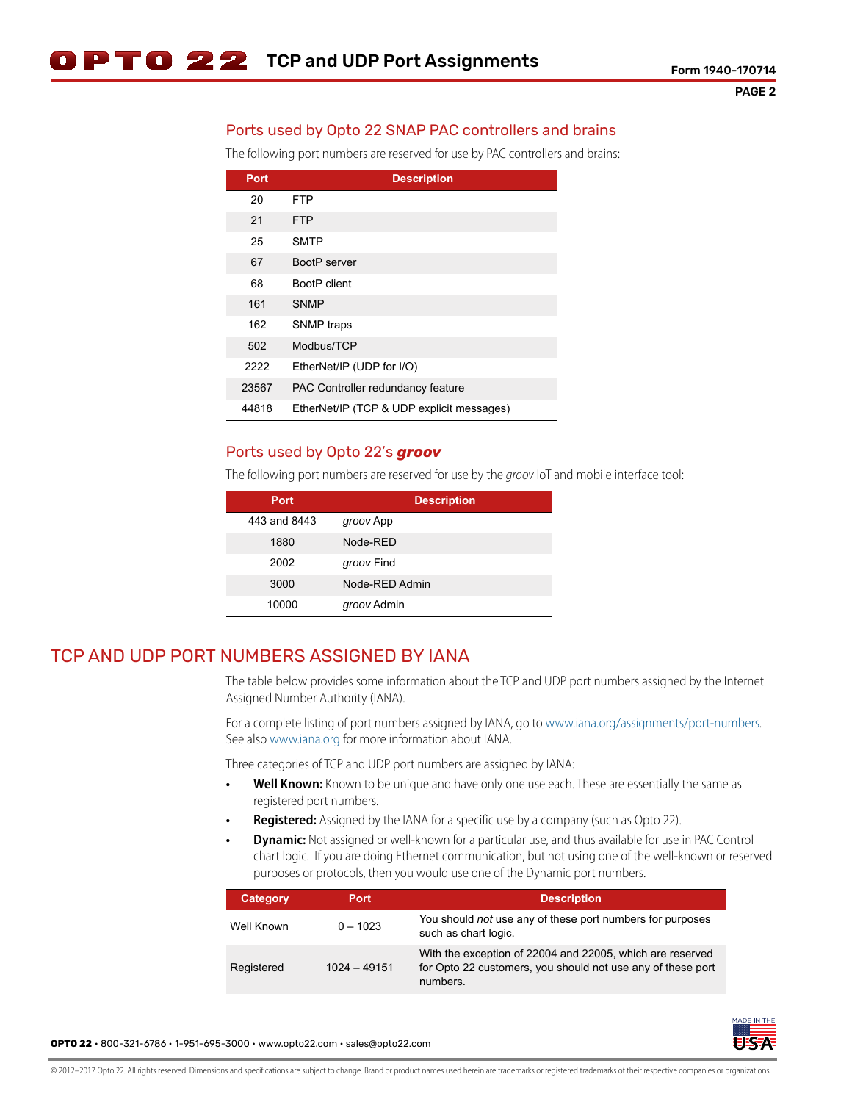## Ports used by Opto 22 SNAP PAC controllers and brains

The following port numbers are reserved for use by PAC controllers and brains:

| Port  | <b>Description</b>                        |  |
|-------|-------------------------------------------|--|
| 20    | <b>FTP</b>                                |  |
| 21    | <b>FTP</b>                                |  |
| 25    | <b>SMTP</b>                               |  |
| 67    | BootP server                              |  |
| 68    | <b>BootP</b> client                       |  |
| 161   | <b>SNMP</b>                               |  |
| 162   | SNMP traps                                |  |
| 502   | Modbus/TCP                                |  |
| 2222  | EtherNet/IP (UDP for I/O)                 |  |
| 23567 | PAC Controller redundancy feature         |  |
| 44818 | EtherNet/IP (TCP & UDP explicit messages) |  |

#### Ports used by Opto 22's *groov*

The following port numbers are reserved for use by the groov IoT and mobile interface tool:

| <b>Port</b>  | <b>Description</b> |
|--------------|--------------------|
| 443 and 8443 | groov App          |
| 1880         | Node-RFD           |
| 2002         | groov Find         |
| 3000         | Node-RED Admin     |
| 10000        | groov Admin        |

## <span id="page-1-0"></span>TCP AND UDP PORT NUMBERS ASSIGNED BY IANA

The table below provides some information about the TCP and UDP port numbers assigned by the Internet Assigned Number Authority (IANA).

For a complete listing of port numbers assigned by IANA, go to [www.iana.org/assignments/port-numbers.](http://www.iana.org/assignments/port-numbers) See also [www.iana.org f](http://www.iana.org)or more information about IANA.

Three categories of TCP and UDP port numbers are assigned by IANA:

- **Well Known:** Known to be unique and have only one use each. These are essentially the same as registered port numbers.
- **Registered:** Assigned by the IANA for a specific use by a company (such as Opto 22).
- **Dynamic:** Not assigned or well-known for a particular use, and thus available for use in PAC Control chart logic. If you are doing Ethernet communication, but not using one of the well-known or reserved purposes or protocols, then you would use one of the Dynamic port numbers.

| Category   | Port           | <b>Description</b>                                                                                                                   |
|------------|----------------|--------------------------------------------------------------------------------------------------------------------------------------|
| Well Known | $0 - 1023$     | You should not use any of these port numbers for purposes<br>such as chart logic.                                                    |
| Registered | $1024 - 49151$ | With the exception of 22004 and 22005, which are reserved<br>for Opto 22 customers, you should not use any of these port<br>numbers. |